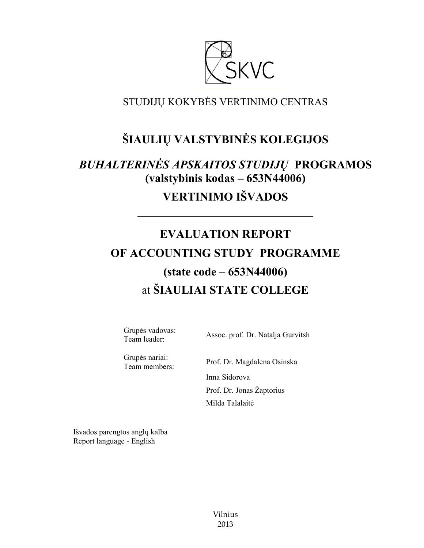

## STUDIJŲ KOKYBĖS VERTINIMO CENTRAS

# **ŠIAULIŲ VALSTYBINĖS KOLEGIJOS**

# *BUHALTERINĖS APSKAITOS STUDIJŲ* **PROGRAMOS (valstybinis kodas – 653N44006)**

# **VERTINIMO IŠVADOS**

––––––––––––––––––––––––––––––

# **EVALUATION REPORT OF ACCOUNTING STUDY PROGRAMME (state code – 653N44006)** at **ŠIAULIAI STATE COLLEGE**

Grupės vadovas:

Team leader: Assoc. prof. Dr. Natalja Gurvitsh

Grupės nariai:

Team members: Prof. Dr. Magdalena Osinska Inna Sidorova Prof. Dr. Jonas Žaptorius Milda Talalaitė

Išvados parengtos anglų kalba Report language - English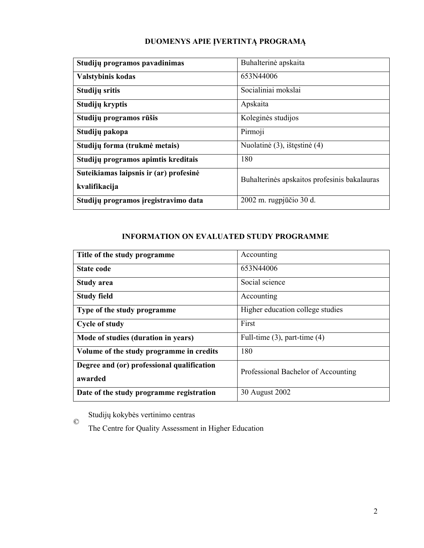### **DUOMENYS APIE ĮVERTINTĄ PROGRAMĄ**

| Studijų programos pavadinimas          | Buhalterinė apskaita                         |  |
|----------------------------------------|----------------------------------------------|--|
| Valstybinis kodas                      | 653N44006                                    |  |
| Studijų sritis                         | Socialiniai mokslai                          |  |
| Studijų kryptis                        | Apskaita                                     |  |
| Studijų programos rūšis                | Koleginės studijos                           |  |
| Studijų pakopa                         | Pirmoji                                      |  |
| Studijų forma (trukmė metais)          | Nuolatinė (3), ištęstinė (4)                 |  |
| Studijų programos apimtis kreditais    | 180                                          |  |
| Suteikiamas laipsnis ir (ar) profesinė | Buhalterinės apskaitos profesinis bakalauras |  |
| kvalifikacija                          |                                              |  |
| Studijų programos įregistravimo data   | 2002 m. rugpjūčio 30 d.                      |  |

### **INFORMATION ON EVALUATED STUDY PROGRAMME**

| Title of the study programme               | Accounting                          |  |
|--------------------------------------------|-------------------------------------|--|
| State code                                 | 653N44006                           |  |
| <b>Study area</b>                          | Social science                      |  |
| <b>Study field</b>                         | Accounting                          |  |
| Type of the study programme                | Higher education college studies    |  |
| <b>Cycle of study</b>                      | First                               |  |
| Mode of studies (duration in years)        | Full-time $(3)$ , part-time $(4)$   |  |
| Volume of the study programme in credits   | 180                                 |  |
| Degree and (or) professional qualification | Professional Bachelor of Accounting |  |
| awarded                                    |                                     |  |
| Date of the study programme registration   | 30 August 2002                      |  |

Studijų kokybės vertinimo centras  $\copyright$ 

The Centre for Quality Assessment in Higher Education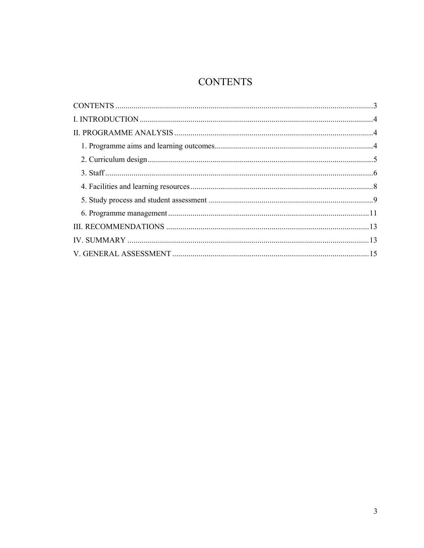## **CONTENTS**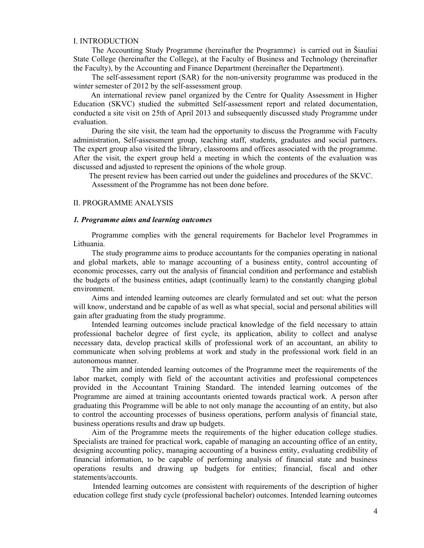#### I. INTRODUCTION

The Accounting Study Programme (hereinafter the Programme) is carried out in Šiauliai State College (hereinafter the College), at the Faculty of Business and Technology (hereinafter the Faculty), by the Accounting and Finance Department (hereinafter the Department).

The self-assessment report (SAR) for the non-university programme was produced in the winter semester of 2012 by the self-assessment group.

 An international review panel organized by the Centre for Quality Assessment in Higher Education (SKVC) studied the submitted Self-assessment report and related documentation, conducted a site visit on 25th of April 2013 and subsequently discussed study Programme under evaluation.

During the site visit, the team had the opportunity to discuss the Programme with Faculty administration, Self-assessment group, teaching staff, students, graduates and social partners. The expert group also visited the library, classrooms and offices associated with the programme. After the visit, the expert group held a meeting in which the contents of the evaluation was discussed and adjusted to represent the opinions of the whole group.

The present review has been carried out under the guidelines and procedures of the SKVC. Assessment of the Programme has not been done before.

#### II. PROGRAMME ANALYSIS

#### *1. Programme aims and learning outcomes*

Programme complies with the general requirements for Bachelor level Programmes in Lithuania.

The study programme aims to produce accountants for the companies operating in national and global markets, able to manage accounting of a business entity, control accounting of economic processes, carry out the analysis of financial condition and performance and establish the budgets of the business entities, adapt (continually learn) to the constantly changing global environment.

Aims and intended learning outcomes are clearly formulated and set out: what the person will know, understand and be capable of as well as what special, social and personal abilities will gain after graduating from the study programme.

Intended learning outcomes include practical knowledge of the field necessary to attain professional bachelor degree of first cycle, its application, ability to collect and analyse necessary data, develop practical skills of professional work of an accountant, an ability to communicate when solving problems at work and study in the professional work field in an autonomous manner.

The aim and intended learning outcomes of the Programme meet the requirements of the labor market, comply with field of the accountant activities and professional competences provided in the Accountant Training Standard. The intended learning outcomes of the Programme are aimed at training accountants oriented towards practical work. A person after graduating this Programme will be able to not only manage the accounting of an entity, but also to control the accounting processes of business operations, perform analysis of financial state, business operations results and draw up budgets.

Aim of the Programme meets the requirements of the higher education college studies. Specialists are trained for practical work, capable of managing an accounting office of an entity, designing accounting policy, managing accounting of a business entity, evaluating credibility of financial information, to be capable of performing analysis of financial state and business operations results and drawing up budgets for entities; financial, fiscal and other statements/accounts.

Intended learning outcomes are consistent with requirements of the description of higher education college first study cycle (professional bachelor) outcomes. Intended learning outcomes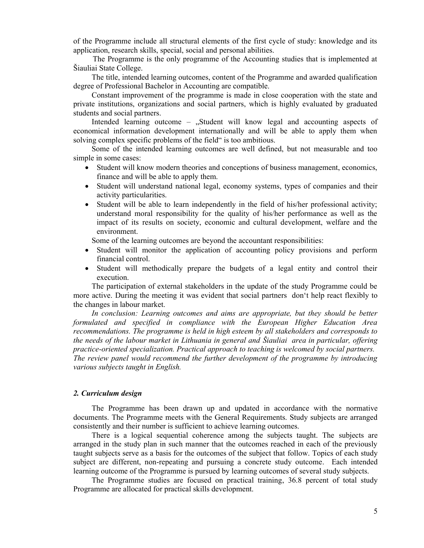of the Programme include all structural elements of the first cycle of study: knowledge and its application, research skills, special, social and personal abilities.

The Programme is the only programme of the Accounting studies that is implemented at Šiauliai State College.

The title, intended learning outcomes, content of the Programme and awarded qualification degree of Professional Bachelor in Accounting are compatible.

Constant improvement of the programme is made in close cooperation with the state and private institutions, organizations and social partners, which is highly evaluated by graduated students and social partners.

Intended learning outcome  $\delta$  Student will know legal and accounting aspects of economical information development internationally and will be able to apply them when solving complex specific problems of the field" is too ambitious.

Some of the intended learning outcomes are well defined, but not measurable and too simple in some cases:

- Student will know modern theories and conceptions of business management, economics, finance and will be able to apply them.
- Student will understand national legal, economy systems, types of companies and their activity particularities.
- Student will be able to learn independently in the field of his/her professional activity; understand moral responsibility for the quality of his/her performance as well as the impact of its results on society, economic and cultural development, welfare and the environment.

Some of the learning outcomes are beyond the accountant responsibilities:

- Student will monitor the application of accounting policy provisions and perform financial control.
- Student will methodically prepare the budgets of a legal entity and control their execution.

The participation of external stakeholders in the update of the study Programme could be more active. During the meeting it was evident that social partners don't help react flexibly to the changes in labour market.

*In conclusion: Learning outcomes and aims are appropriate, but they should be better formulated and specified in compliance with the European Higher Education Area recommendations. The programme is held in high esteem by all stakeholders and corresponds to the needs of the labour market in Lithuania in general and Šiauliai area in particular, offering practice-oriented specialization. Practical approach to teaching is welcomed by social partners. The review panel would recommend the further development of the programme by introducing various subjects taught in English.*

#### *2. Curriculum design*

The Programme has been drawn up and updated in accordance with the normative documents. The Programme meets with the General Requirements. Study subjects are arranged consistently and their number is sufficient to achieve learning outcomes.

There is a logical sequential coherence among the subjects taught. The subjects are arranged in the study plan in such manner that the outcomes reached in each of the previously taught subjects serve as a basis for the outcomes of the subject that follow. Topics of each study subject are different, non-repeating and pursuing a concrete study outcome. Each intended learning outcome of the Programme is pursued by learning outcomes of several study subjects.

The Programme studies are focused on practical training, 36.8 percent of total study Programme are allocated for practical skills development.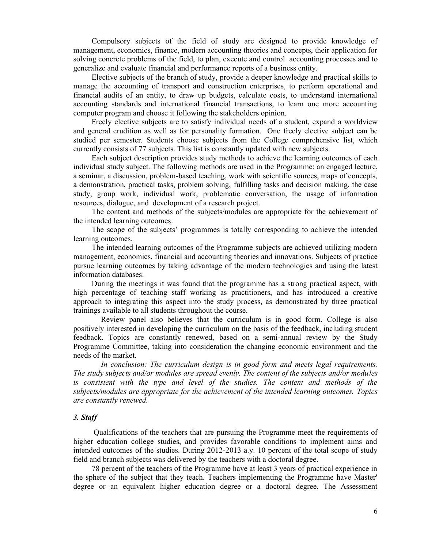Compulsory subjects of the field of study are designed to provide knowledge of management, economics, finance, modern accounting theories and concepts, their application for solving concrete problems of the field, to plan, execute and control accounting processes and to generalize and evaluate financial and performance reports of a business entity.

Elective subjects of the branch of study, provide a deeper knowledge and practical skills to manage the accounting of transport and construction enterprises, to perform operational and financial audits of an entity, to draw up budgets, calculate costs, to understand international accounting standards and international financial transactions, to learn one more accounting computer program and choose it following the stakeholders opinion.

Freely elective subjects are to satisfy individual needs of a student, expand a worldview and general erudition as well as for personality formation. One freely elective subject can be studied per semester. Students choose subjects from the College comprehensive list, which currently consists of 77 subjects. This list is constantly updated with new subjects.

Each subject description provides study methods to achieve the learning outcomes of each individual study subject. The following methods are used in the Programme: an engaged lecture, a seminar, a discussion, problem-based teaching, work with scientific sources, maps of concepts, a demonstration, practical tasks, problem solving, fulfilling tasks and decision making, the case study, group work, individual work, problematic conversation, the usage of information resources, dialogue, and development of a research project.

The content and methods of the subjects/modules are appropriate for the achievement of the intended learning outcomes.

The scope of the subjects' programmes is totally corresponding to achieve the intended learning outcomes.

The intended learning outcomes of the Programme subjects are achieved utilizing modern management, economics, financial and accounting theories and innovations. Subjects of practice pursue learning outcomes by taking advantage of the modern technologies and using the latest information databases.

During the meetings it was found that the programme has a strong practical aspect, with high percentage of teaching staff working as practitioners, and has introduced a creative approach to integrating this aspect into the study process, as demonstrated by three practical trainings available to all students throughout the course.

Review panel also believes that the curriculum is in good form. College is also positively interested in developing the curriculum on the basis of the feedback, including student feedback. Topics are constantly renewed, based on a semi-annual review by the Study Programme Committee, taking into consideration the changing economic environment and the needs of the market.

*In conclusion: The curriculum design is in good form and meets legal requirements. The study subjects and/or modules are spread evenly. The content of the subjects and/or modules is consistent with the type and level of the studies. The content and methods of the subjects/modules are appropriate for the achievement of the intended learning outcomes. Topics are constantly renewed.*

#### *3. Staff*

 Qualifications of the teachers that are pursuing the Programme meet the requirements of higher education college studies, and provides favorable conditions to implement aims and intended outcomes of the studies. During 2012-2013 a.y. 10 percent of the total scope of study field and branch subjects was delivered by the teachers with a doctoral degree.

78 percent of the teachers of the Programme have at least 3 years of practical experience in the sphere of the subject that they teach. Teachers implementing the Programme have Master' degree or an equivalent higher education degree or a doctoral degree. The Assessment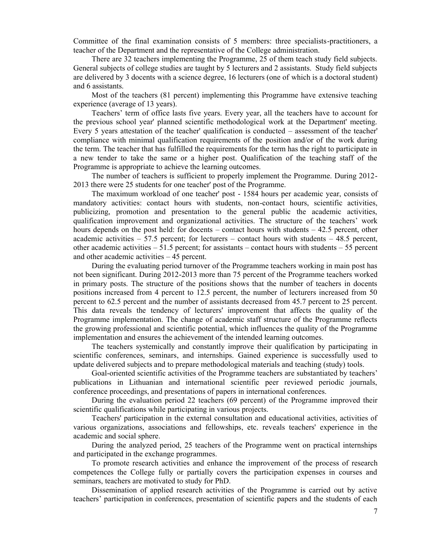Committee of the final examination consists of 5 members: three specialists-practitioners, a teacher of the Department and the representative of the College administration.

There are 32 teachers implementing the Programme, 25 of them teach study field subjects. General subjects of college studies are taught by 5 lecturers and 2 assistants. Study field subjects are delivered by 3 docents with a science degree, 16 lecturers (one of which is a doctoral student) and 6 assistants.

Most of the teachers (81 percent) implementing this Programme have extensive teaching experience (average of 13 years).

Teachers' term of office lasts five years. Every year, all the teachers have to account for the previous school year' planned scientific methodological work at the Department' meeting. Every 5 years attestation of the teacher' qualification is conducted – assessment of the teacher' compliance with minimal qualification requirements of the position and/or of the work during the term. The teacher that has fulfilled the requirements for the term has the right to participate in a new tender to take the same or a higher post. Qualification of the teaching staff of the Programme is appropriate to achieve the learning outcomes.

The number of teachers is sufficient to properly implement the Programme. During 2012- 2013 there were 25 students for one teacher' post of the Programme.

The maximum workload of one teacher' post - 1584 hours per academic year, consists of mandatory activities: contact hours with students, non-contact hours, scientific activities, publicizing, promotion and presentation to the general public the academic activities, qualification improvement and organizational activities. The structure of the teachers' work hours depends on the post held: for docents – contact hours with students – 42.5 percent, other academic activities  $-57.5$  percent; for lecturers  $-$  contact hours with students  $-48.5$  percent, other academic activities – 51.5 percent; for assistants – contact hours with students – 55 percent and other academic activities – 45 percent.

During the evaluating period turnover of the Programme teachers working in main post has not been significant. During 2012-2013 more than 75 percent of the Programme teachers worked in primary posts. The structure of the positions shows that the number of teachers in docents positions increased from 4 percent to 12.5 percent, the number of lecturers increased from 50 percent to 62.5 percent and the number of assistants decreased from 45.7 percent to 25 percent. This data reveals the tendency of lecturers' improvement that affects the quality of the Programme implementation. The change of academic staff structure of the Programme reflects the growing professional and scientific potential, which influences the quality of the Programme implementation and ensures the achievement of the intended learning outcomes.

The teachers systemically and constantly improve their qualification by participating in scientific conferences, seminars, and internships. Gained experience is successfully used to update delivered subjects and to prepare methodological materials and teaching (study) tools.

Goal-oriented scientific activities of the Programme teachers are substantiated by teachers' publications in Lithuanian and international scientific peer reviewed periodic journals, conference proceedings, and presentations of papers in international conferences.

During the evaluation period 22 teachers (69 percent) of the Programme improved their scientific qualifications while participating in various projects.

Teachers' participation in the external consultation and educational activities, activities of various organizations, associations and fellowships, etc. reveals teachers' experience in the academic and social sphere.

During the analyzed period, 25 teachers of the Programme went on practical internships and participated in the exchange programmes.

To promote research activities and enhance the improvement of the process of research competences the College fully or partially covers the participation expenses in courses and seminars, teachers are motivated to study for PhD.

Dissemination of applied research activities of the Programme is carried out by active teachers' participation in conferences, presentation of scientific papers and the students of each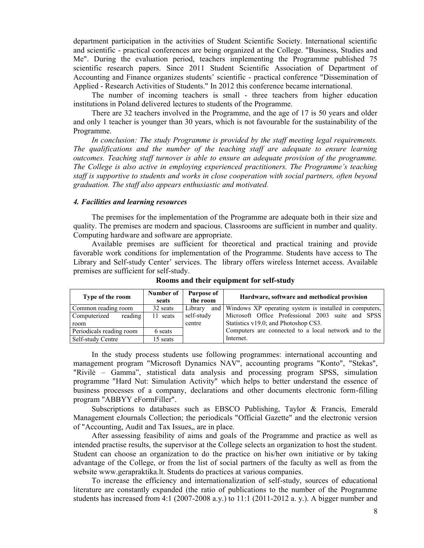department participation in the activities of Student Scientific Society. International scientific and scientific - practical conferences are being organized at the College. "Business, Studies and Me". During the evaluation period, teachers implementing the Programme published 75 scientific research papers. Since 2011 Student Scientific Association of Department of Accounting and Finance organizes students' scientific - practical conference "Dissemination of Applied - Research Activities of Students." In 2012 this conference became international.

The number of incoming teachers is small - three teachers from higher education institutions in Poland delivered lectures to students of the Programme.

There are 32 teachers involved in the Programme, and the age of 17 is 50 years and older and only 1 teacher is younger than 30 years, which is not favourable for the sustainability of the Programme.

*In conclusion: The study Programme is provided by the staff meeting legal requirements. The qualifications and the number of the teaching staff are adequate to ensure learning outcomes. Teaching staff turnover is able to ensure an adequate provision of the programme. The College is also active in employing experienced practitioners. The Programme's teaching staff is supportive to students and works in close cooperation with social partners, often beyond graduation. The staff also appears enthusiastic and motivated.*

#### *4. Facilities and learning resources*

The premises for the implementation of the Programme are adequate both in their size and quality. The premises are modern and spacious. Classrooms are sufficient in number and quality. Computing hardware and software are appropriate.

Available premises are sufficient for theoretical and practical training and provide favorable work conditions for implementation of the Programme. Students have access to The Library and Self-study Center' services. The library offers wireless Internet access. Available premises are sufficient for self-study.

| Type of the room         | Number of<br>seats | Purpose of<br>the room | Hardware, software and methodical provision                |
|--------------------------|--------------------|------------------------|------------------------------------------------------------|
| Common reading room      | 32 seats           | Library                | and Windows XP operating system is installed in computers, |
| Computerized<br>reading  | 11 seats           | self-study             | Microsoft Office Professional 2003 suite and SPSS          |
| room                     |                    | centre                 | Statistics v19.0; and Photoshop CS3.                       |
| Periodicals reading room | 6 seats            |                        | Computers are connected to a local network and to the      |
| Self-study Centre        | 15 seats           |                        | Internet.                                                  |

**Rooms and their equipment for self-study**

In the study process students use following programmes: international accounting and management program "Microsoft Dynamics NAV", accounting programs "Konto", "Stekas", "Rivilė – Gamma", statistical data analysis and processing program SPSS, simulation programme "Hard Nut: Simulation Activity" which helps to better understand the essence of business processes of a company, declarations and other documents electronic form-filling program "ABBYY eFormFiller".

Subscriptions to databases such as EBSCO Publishing, Taylor  $\&$  Francis, Emerald Management eJournals Collection; the periodicals "Official Gazette" and the electronic version of "Accounting, Audit and Tax Issues, are in place.

After assessing feasibility of aims and goals of the Programme and practice as well as intended practise results, the supervisor at the College selects an organization to host the student. Student can choose an organization to do the practice on his/her own initiative or by taking advantage of the College, or from the list of social partners of the faculty as well as from the website www.gerapraktika.lt. Students do practices at various companies.

To increase the efficiency and internationalization of self-study, sources of educational literature are constantly expanded (the ratio of publications to the number of the Programme students has increased from 4:1 (2007-2008 a.y.) to 11:1 (2011-2012 a. y.). A bigger number and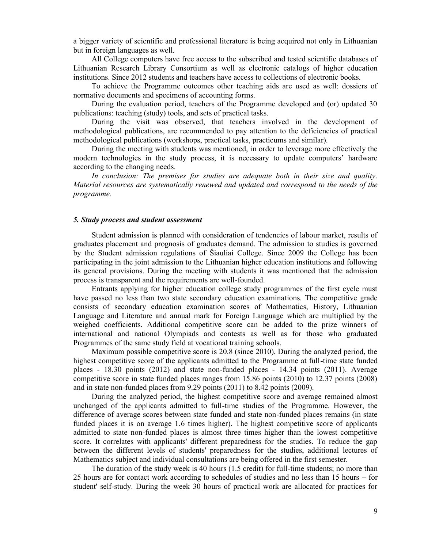a bigger variety of scientific and professional literature is being acquired not only in Lithuanian but in foreign languages as well.

All College computers have free access to the subscribed and tested scientific databases of Lithuanian Research Library Consortium as well as electronic catalogs of higher education institutions. Since 2012 students and teachers have access to collections of electronic books.

To achieve the Programme outcomes other teaching aids are used as well: dossiers of normative documents and specimens of accounting forms.

During the evaluation period, teachers of the Programme developed and (or) updated 30 publications: teaching (study) tools, and sets of practical tasks.

During the visit was observed, that teachers involved in the development of methodological publications, are recommended to pay attention to the deficiencies of practical methodological publications (workshops, practical tasks, practicums and similar).

During the meeting with students was mentioned, in order to leverage more effectively the modern technologies in the study process, it is necessary to update computers' hardware according to the changing needs.

*In conclusion: The premises for studies are adequate both in their size and quality. Material resources are systematically renewed and updated and correspond to the needs of the programme.*

#### *5. Study process and student assessment*

Student admission is planned with consideration of tendencies of labour market, results of graduates placement and prognosis of graduates demand. The admission to studies is governed by the Student admission regulations of Šiauliai College. Since 2009 the College has been participating in the joint admission to the Lithuanian higher education institutions and following its general provisions. During the meeting with students it was mentioned that the admission process is transparent and the requirements are well-founded.

Entrants applying for higher education college study programmes of the first cycle must have passed no less than two state secondary education examinations. The competitive grade consists of secondary education examination scores of Mathematics, History, Lithuanian Language and Literature and annual mark for Foreign Language which are multiplied by the weighed coefficients. Additional competitive score can be added to the prize winners of international and national Olympiads and contests as well as for those who graduated Programmes of the same study field at vocational training schools.

Maximum possible competitive score is 20.8 (since 2010). During the analyzed period, the highest competitive score of the applicants admitted to the Programme at full-time state funded places - 18.30 points (2012) and state non-funded places - 14.34 points (2011). Average competitive score in state funded places ranges from 15.86 points (2010) to 12.37 points (2008) and in state non-funded places from 9.29 points (2011) to 8.42 points (2009).

During the analyzed period, the highest competitive score and average remained almost unchanged of the applicants admitted to full-time studies of the Programme. However, the difference of average scores between state funded and state non-funded places remains (in state funded places it is on average 1.6 times higher). The highest competitive score of applicants admitted to state non-funded places is almost three times higher than the lowest competitive score. It correlates with applicants' different preparedness for the studies. To reduce the gap between the different levels of students' preparedness for the studies, additional lectures of Mathematics subject and individual consultations are being offered in the first semester.

The duration of the study week is 40 hours (1.5 credit) for full-time students; no more than 25 hours are for contact work according to schedules of studies and no less than 15 hours – for student' self-study. During the week 30 hours of practical work are allocated for practices for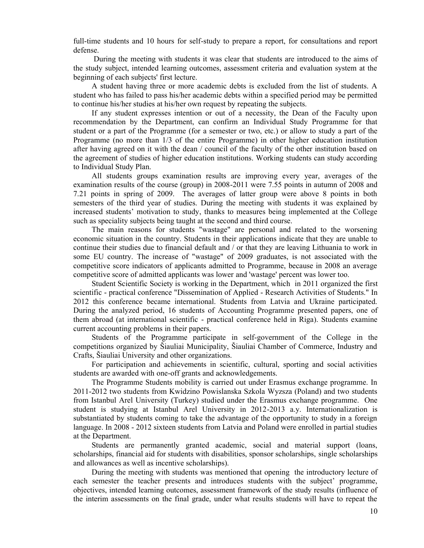full-time students and 10 hours for self-study to prepare a report, for consultations and report defense.

During the meeting with students it was clear that students are introduced to the aims of the study subject, intended learning outcomes, assessment criteria and evaluation system at the beginning of each subjects' first lecture.

A student having three or more academic debts is excluded from the list of students. A student who has failed to pass his/her academic debts within a specified period may be permitted to continue his/her studies at his/her own request by repeating the subjects.

If any student expresses intention or out of a necessity, the Dean of the Faculty upon recommendation by the Department, can confirm an Individual Study Programme for that student or a part of the Programme (for a semester or two, etc.) or allow to study a part of the Programme (no more than 1/3 of the entire Programme) in other higher education institution after having agreed on it with the dean / council of the faculty of the other institution based on the agreement of studies of higher education institutions. Working students can study according to Individual Study Plan.

All students groups examination results are improving every year, averages of the examination results of the course (group) in 2008-2011 were 7.55 points in autumn of 2008 and 7.21 points in spring of 2009. The averages of latter group were above 8 points in both semesters of the third year of studies. During the meeting with students it was explained by increased students' motivation to study, thanks to measures being implemented at the College such as speciality subjects being taught at the second and third course.

The main reasons for students "wastage" are personal and related to the worsening economic situation in the country. Students in their applications indicate that they are unable to continue their studies due to financial default and / or that they are leaving Lithuania to work in some EU country. The increase of "wastage" of 2009 graduates, is not associated with the competitive score indicators of applicants admitted to Programme, because in 2008 an average competitive score of admitted applicants was lower and 'wastage' percent was lower too.

Student Scientific Society is working in the Department, which in 2011 organized the first scientific - practical conference "Dissemination of Applied - Research Activities of Students." In 2012 this conference became international. Students from Latvia and Ukraine participated. During the analyzed period, 16 students of Accounting Programme presented papers, one of them abroad (at international scientific - practical conference held in Riga). Students examine current accounting problems in their papers.

Students of the Programme participate in self-government of the College in the competitions organized by Šiauliai Municipality, Šiauliai Chamber of Commerce, Industry and Crafts, Šiauliai University and other organizations.

For participation and achievements in scientific, cultural, sporting and social activities students are awarded with one-off grants and acknowledgements.

The Programme Students mobility is carried out under Erasmus exchange programme. In 2011-2012 two students from Kwidzino Powislanska Szkola Wyzsza (Poland) and two students from Istanbul Arel University (Turkey) studied under the Erasmus exchange programme. One student is studying at Istanbul Arel University in 2012-2013 a.y. Internationalization is substantiated by students coming to take the advantage of the opportunity to study in a foreign language. In 2008 - 2012 sixteen students from Latvia and Poland were enrolled in partial studies at the Department.

Students are permanently granted academic, social and material support (loans, scholarships, financial aid for students with disabilities, sponsor scholarships, single scholarships and allowances as well as incentive scholarships).

During the meeting with students was mentioned that opening the introductory lecture of each semester the teacher presents and introduces students with the subject' programme, objectives, intended learning outcomes, assessment framework of the study results (influence of the interim assessments on the final grade, under what results students will have to repeat the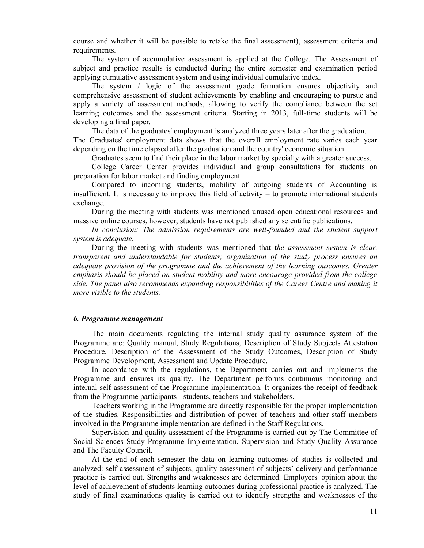course and whether it will be possible to retake the final assessment), assessment criteria and requirements.

The system of accumulative assessment is applied at the College. The Assessment of subject and practice results is conducted during the entire semester and examination period applying cumulative assessment system and using individual cumulative index.

The system / logic of the assessment grade formation ensures objectivity and comprehensive assessment of student achievements by enabling and encouraging to pursue and apply a variety of assessment methods, allowing to verify the compliance between the set learning outcomes and the assessment criteria. Starting in 2013, full-time students will be developing a final paper.

The data of the graduates' employment is analyzed three years later after the graduation.

The Graduates' employment data shows that the overall employment rate varies each year depending on the time elapsed after the graduation and the country' economic situation.

Graduates seem to find their place in the labor market by specialty with a greater success.

College Career Center provides individual and group consultations for students on preparation for labor market and finding employment.

Compared to incoming students, mobility of outgoing students of Accounting is insufficient. It is necessary to improve this field of activity – to promote international students exchange.

During the meeting with students was mentioned unused open educational resources and massive online courses, however, students have not published any scientific publications.

*In conclusion: The admission requirements are well-founded and the student support system is adequate.*

During the meeting with students was mentioned that t*he assessment system is clear, transparent and understandable for students; organization of the study process ensures an adequate provision of the programme and the achievement of the learning outcomes. Greater emphasis should be placed on student mobility and more encourage provided from the college side. The panel also recommends expanding responsibilities of the Career Centre and making it more visible to the students.*

#### *6. Programme management*

The main documents regulating the internal study quality assurance system of the Programme are: Quality manual, Study Regulations, Description of Study Subjects Attestation Procedure, Description of the Assessment of the Study Outcomes, Description of Study Programme Development, Assessment and Update Procedure.

In accordance with the regulations, the Department carries out and implements the Programme and ensures its quality. The Department performs continuous monitoring and internal self-assessment of the Programme implementation. It organizes the receipt of feedback from the Programme participants - students, teachers and stakeholders.

Teachers working in the Programme are directly responsible for the proper implementation of the studies. Responsibilities and distribution of power of teachers and other staff members involved in the Programme implementation are defined in the Staff Regulations.

Supervision and quality assessment of the Programme is carried out by The Committee of Social Sciences Study Programme Implementation, Supervision and Study Quality Assurance and The Faculty Council.

At the end of each semester the data on learning outcomes of studies is collected and analyzed: self-assessment of subjects, quality assessment of subjects' delivery and performance practice is carried out. Strengths and weaknesses are determined. Employers' opinion about the level of achievement of students learning outcomes during professional practice is analyzed. The study of final examinations quality is carried out to identify strengths and weaknesses of the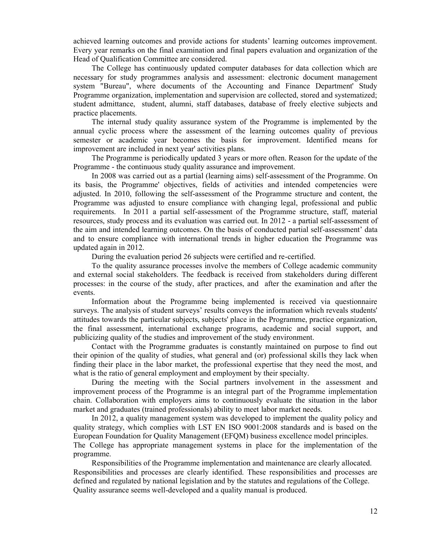achieved learning outcomes and provide actions for students' learning outcomes improvement. Every year remarks on the final examination and final papers evaluation and organization of the Head of Qualification Committee are considered.

The College has continuously updated computer databases for data collection which are necessary for study programmes analysis and assessment: electronic document management system "Bureau", where documents of the Accounting and Finance Department' Study Programme organization, implementation and supervision are collected, stored and systematized; student admittance, student, alumni, staff databases, database of freely elective subjects and practice placements.

The internal study quality assurance system of the Programme is implemented by the annual cyclic process where the assessment of the learning outcomes quality of previous semester or academic year becomes the basis for improvement. Identified means for improvement are included in next year' activities plans.

The Programme is periodically updated 3 years or more often. Reason for the update of the Programme - the continuous study quality assurance and improvement.

In 2008 was carried out as a partial (learning aims) self-assessment of the Programme. On its basis, the Programme' objectives, fields of activities and intended competencies were adjusted. In 2010, following the self-assessment of the Programme structure and content, the Programme was adjusted to ensure compliance with changing legal, professional and public requirements. In 2011 a partial self-assessment of the Programme structure, staff, material resources, study process and its evaluation was carried out. In 2012 - a partial self-assessment of the aim and intended learning outcomes. On the basis of conducted partial self-assessment' data and to ensure compliance with international trends in higher education the Programme was updated again in 2012.

During the evaluation period 26 subjects were certified and re-certified.

To the quality assurance processes involve the members of College academic community and external social stakeholders. The feedback is received from stakeholders during different processes: in the course of the study, after practices, and after the examination and after the events.

Information about the Programme being implemented is received via questionnaire surveys. The analysis of student surveys' results conveys the information which reveals students' attitudes towards the particular subjects, subjects' place in the Programme, practice organization, the final assessment, international exchange programs, academic and social support, and publicizing quality of the studies and improvement of the study environment.

Contact with the Programme graduates is constantly maintained on purpose to find out their opinion of the quality of studies, what general and (or) professional skills they lack when finding their place in the labor market, the professional expertise that they need the most, and what is the ratio of general employment and employment by their specialty.

During the meeting with the Social partners involvement in the assessment and improvement process of the Programme is an integral part of the Programme implementation chain. Collaboration with employers aims to continuously evaluate the situation in the labor market and graduates (trained professionals) ability to meet labor market needs.

In 2012, a quality management system was developed to implement the quality policy and quality strategy, which complies with LST EN ISO 9001:2008 standards and is based on the European Foundation for Quality Management (EFQM) business excellence model principles. The College has appropriate management systems in place for the implementation of the programme.

Responsibilities of the Programme implementation and maintenance are clearly allocated. Responsibilities and processes are clearly identified. These responsibilities and processes are defined and regulated by national legislation and by the statutes and regulations of the College. Quality assurance seems well-developed and a quality manual is produced.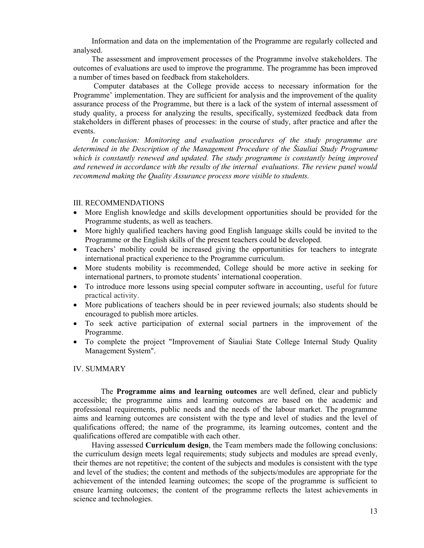Information and data on the implementation of the Programme are regularly collected and analysed.

The assessment and improvement processes of the Programme involve stakeholders. The outcomes of evaluations are used to improve the programme. The programme has been improved a number of times based on feedback from stakeholders.

Computer databases at the College provide access to necessary information for the Programme' implementation. They are sufficient for analysis and the improvement of the quality assurance process of the Programme, but there is a lack of the system of internal assessment of study quality, a process for analyzing the results, specifically, systemized feedback data from stakeholders in different phases of processes: in the course of study, after practice and after the events.

*In conclusion: Monitoring and evaluation procedures of the study programme are determined in the Description of the Management Procedure of the Šiauliai Study Programme which is constantly renewed and updated. The study programme is constantly being improved and renewed in accordance with the results of the internal evaluations. The review panel would recommend making the Quality Assurance process more visible to students.*

#### III. RECOMMENDATIONS

- More English knowledge and skills development opportunities should be provided for the Programme students, as well as teachers.
- More highly qualified teachers having good English language skills could be invited to the Programme or the English skills of the present teachers could be developed.
- Teachers' mobility could be increased giving the opportunities for teachers to integrate international practical experience to the Programme curriculum.
- More students mobility is recommended, College should be more active in seeking for international partners, to promote students' international cooperation.
- To introduce more lessons using special computer software in accounting, useful for future practical activity.
- More publications of teachers should be in peer reviewed journals; also students should be encouraged to publish more articles.
- To seek active participation of external social partners in the improvement of the Programme.
- To complete the project "Improvement of Šiauliai State College Internal Study Quality Management System".

#### IV. SUMMARY

The **Programme aims and learning outcomes** are well defined, clear and publicly accessible; the programme aims and learning outcomes are based on the academic and professional requirements, public needs and the needs of the labour market. The programme aims and learning outcomes are consistent with the type and level of studies and the level of qualifications offered; the name of the programme, its learning outcomes, content and the qualifications offered are compatible with each other.

Having assessed **Curriculum design**, the Team members made the following conclusions: the curriculum design meets legal requirements; study subjects and modules are spread evenly, their themes are not repetitive; the content of the subjects and modules is consistent with the type and level of the studies; the content and methods of the subjects/modules are appropriate for the achievement of the intended learning outcomes; the scope of the programme is sufficient to ensure learning outcomes; the content of the programme reflects the latest achievements in science and technologies.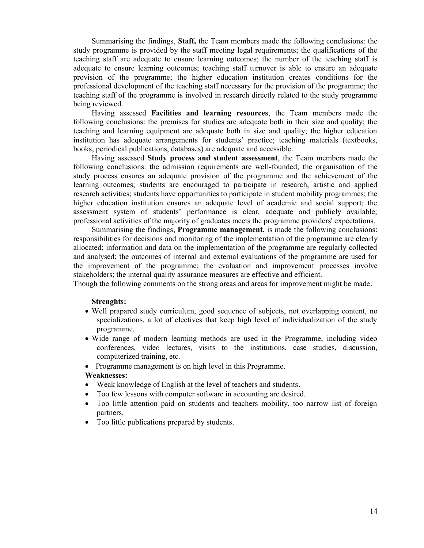Summarising the findings, **Staff,** the Team members made the following conclusions: the study programme is provided by the staff meeting legal requirements; the qualifications of the teaching staff are adequate to ensure learning outcomes; the number of the teaching staff is adequate to ensure learning outcomes; teaching staff turnover is able to ensure an adequate provision of the programme; the higher education institution creates conditions for the professional development of the teaching staff necessary for the provision of the programme; the teaching staff of the programme is involved in research directly related to the study programme being reviewed.

Having assessed **Facilities and learning resources**, the Team members made the following conclusions: the premises for studies are adequate both in their size and quality; the teaching and learning equipment are adequate both in size and quality; the higher education institution has adequate arrangements for students' practice; teaching materials (textbooks, books, periodical publications, databases) are adequate and accessible.

Having assessed **Study process and student assessment**, the Team members made the following conclusions: the admission requirements are well-founded; the organisation of the study process ensures an adequate provision of the programme and the achievement of the learning outcomes; students are encouraged to participate in research, artistic and applied research activities; students have opportunities to participate in student mobility programmes; the higher education institution ensures an adequate level of academic and social support; the assessment system of students' performance is clear, adequate and publicly available; professional activities of the majority of graduates meets the programme providers' expectations.

Summarising the findings, **Programme management**, is made the following conclusions: responsibilities for decisions and monitoring of the implementation of the programme are clearly allocated; information and data on the implementation of the programme are regularly collected and analysed; the outcomes of internal and external evaluations of the programme are used for the improvement of the programme; the evaluation and improvement processes involve stakeholders; the internal quality assurance measures are effective and efficient.

Though the following comments on the strong areas and areas for improvement might be made.

#### **Strenghts:**

- Well prapared study curriculum, good sequence of subjects, not overlapping content, no specializations, a lot of electives that keep high level of individualization of the study programme.
- Wide range of modern learning methods are used in the Programme, including video conferences, video lectures, visits to the institutions, case studies, discussion, computerized training, etc.
- Programme management is on high level in this Programme.

#### **Weaknesses:**

- Weak knowledge of English at the level of teachers and students.
- Too few lessons with computer software in accounting are desired.
- Too little attention paid on students and teachers mobility, too narrow list of foreign partners.
- Too little publications prepared by students.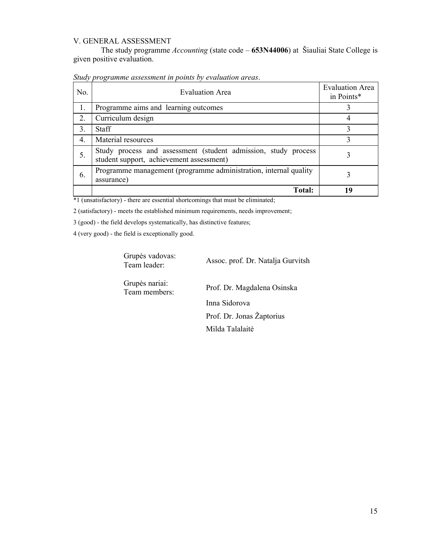#### V. GENERAL ASSESSMENT

The study programme *Accounting* (state code – **653N44006**) at Šiauliai State College is given positive evaluation.

| No.              | <b>Evaluation Area</b>                                                                                     | <b>Evaluation Area</b><br>in Points* |
|------------------|------------------------------------------------------------------------------------------------------------|--------------------------------------|
| 1.               | Programme aims and learning outcomes                                                                       |                                      |
| 2.               | Curriculum design                                                                                          |                                      |
| 3.               | <b>Staff</b>                                                                                               |                                      |
| $\overline{4}$ . | Material resources                                                                                         |                                      |
| 5.               | Study process and assessment (student admission, study process<br>student support, achievement assessment) |                                      |
| 6.               | Programme management (programme administration, internal quality<br>assurance)                             |                                      |
|                  | <b>Total:</b>                                                                                              | 19                                   |

*Study programme assessment in points by evaluation areas*.

\*1 (unsatisfactory) - there are essential shortcomings that must be eliminated;

2 (satisfactory) - meets the established minimum requirements, needs improvement;

3 (good) - the field develops systematically, has distinctive features;

4 (very good) - the field is exceptionally good.

Grupės vadovas:

Team leader: Assoc. prof. Dr. Natalja Gurvitsh

Grupės nariai:<br>Team members:

Prof. Dr. Magdalena Osinska Inna Sidorova Prof. Dr. Jonas Žaptorius Milda Talalaitė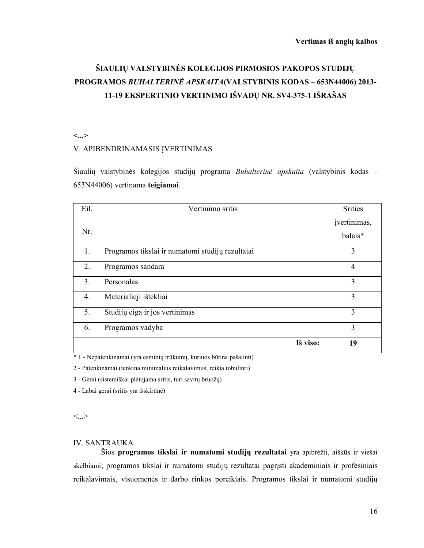## **ŠIAULIŲ VALSTYBINĖS KOLEGIJOS PIRMOSIOS PAKOPOS STUDIJŲ PROGRAMOS** *BUHALTERINĖ APSKAITA***(VALSTYBINIS KODAS – 653N44006) 2013- 11-19 EKSPERTINIO VERTINIMO IŠVADŲ NR. SV4-375-1 IŠRAŠAS**

**<...>**

#### V. APIBENDRINAMASIS ĮVERTINIMAS

Šiaulių valstybinės kolegijos studijų programa *Buhalterinė apskaita* (valstybinis kodas – 653N44006) vertinama **teigiamai**.

| Eil. | Vertinimo sritis                                 | <b>Srities</b> |
|------|--------------------------------------------------|----------------|
|      |                                                  | įvertinimas,   |
| Nr.  |                                                  | balais*        |
| 1.   | Programos tikslai ir numatomi studijų rezultatai | 3              |
| 2.   | Programos sandara                                | $\overline{4}$ |
| 3.   | Personalas                                       | 3              |
| 4.   | Materialieji ištekliai                           | 3              |
| 5.   | Studijų eiga ir jos vertinimas                   | 3              |
| 6.   | Programos vadyba                                 | 3              |
|      | Iš viso:                                         | 19             |

\* 1 - Nepatenkinamai (yra esminių trūkumų, kuriuos būtina pašalinti)

2 - Patenkinamai (tenkina minimalius reikalavimus, reikia tobulinti)

3 - Gerai (sistemiškai plėtojama sritis, turi savitų bruožų)

4 - Labai gerai (sritis yra išskirtinė)

 $\langle \cdot \rangle$ 

#### IV. SANTRAUKA

Šios **programos tikslai ir numatomi studijų rezultatai** yra apibrėžti, aiškūs ir viešai skelbiami; programos tikslai ir numatomi studijų rezultatai pagrįsti akademiniais ir profesiniais reikalavimais, visuomenės ir darbo rinkos poreikiais. Programos tikslai ir numatomi studijų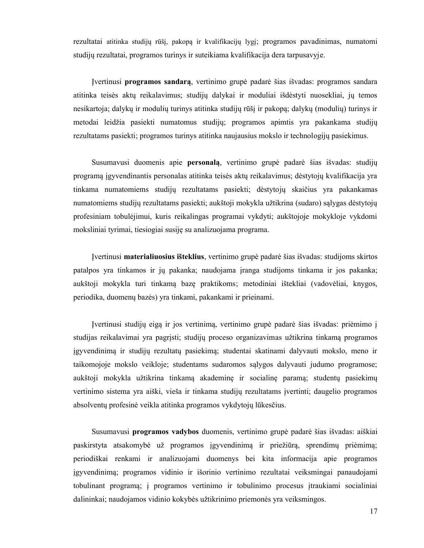rezultatai atitinka studijų rūšį, pakopą ir kvalifikacijų lygį; programos pavadinimas, numatomi studijų rezultatai, programos turinys ir suteikiama kvalifikacija dera tarpusavyje.

Įvertinusi **programos sandarą**, vertinimo grupė padarė šias išvadas: programos sandara atitinka teisės aktų reikalavimus; studijų dalykai ir moduliai išdėstyti nuosekliai, jų temos nesikartoja; dalykų ir modulių turinys atitinka studijų rūšį ir pakopą; dalykų (modulių) turinys ir metodai leidžia pasiekti numatomus studijų; programos apimtis yra pakankama studijų rezultatams pasiekti; programos turinys atitinka naujausius mokslo ir technologijų pasiekimus.

Susumavusi duomenis apie **personalą**, vertinimo grupė padarė šias išvadas: studijų programą įgyvendinantis personalas atitinka teisės aktų reikalavimus; dėstytojų kvalifikacija yra tinkama numatomiems studijų rezultatams pasiekti; dėstytojų skaičius yra pakankamas numatomiems studijų rezultatams pasiekti; aukštoji mokykla užtikrina (sudaro) sąlygas dėstytojų profesiniam tobulėjimui, kuris reikalingas programai vykdyti; aukštojoje mokykloje vykdomi moksliniai tyrimai, tiesiogiai susiję su analizuojama programa.

Įvertinusi **materialiuosius išteklius**, vertinimo grupė padarė šias išvadas: studijoms skirtos patalpos yra tinkamos ir jų pakanka; naudojama įranga studijoms tinkama ir jos pakanka; aukštoji mokykla turi tinkamą bazę praktikoms; metodiniai ištekliai (vadovėliai, knygos, periodika, duomenų bazės) yra tinkami, pakankami ir prieinami.

Įvertinusi studijų eigą ir jos vertinimą, vertinimo grupė padarė šias išvadas: priėmimo į studijas reikalavimai yra pagrįsti; studijų proceso organizavimas užtikrina tinkamą programos įgyvendinimą ir studijų rezultatų pasiekimą; studentai skatinami dalyvauti mokslo, meno ir taikomojoje mokslo veikloje; studentams sudaromos sąlygos dalyvauti judumo programose; aukštoji mokykla užtikrina tinkamą akademinę ir socialinę paramą; studentų pasiekimų vertinimo sistema yra aiški, vieša ir tinkama studijų rezultatams įvertinti; daugelio programos absolventų profesinė veikla atitinka programos vykdytojų lūkesčius.

Susumavusi **programos vadybos** duomenis, vertinimo grupė padarė šias išvadas: aiškiai paskirstyta atsakomybė už programos įgyvendinimą ir priežiūrą, sprendimų priėmimą; periodiškai renkami ir analizuojami duomenys bei kita informacija apie programos įgyvendinimą; programos vidinio ir išorinio vertinimo rezultatai veiksmingai panaudojami tobulinant programą; į programos vertinimo ir tobulinimo procesus įtraukiami socialiniai dalininkai; naudojamos vidinio kokybės užtikrinimo priemonės yra veiksmingos.